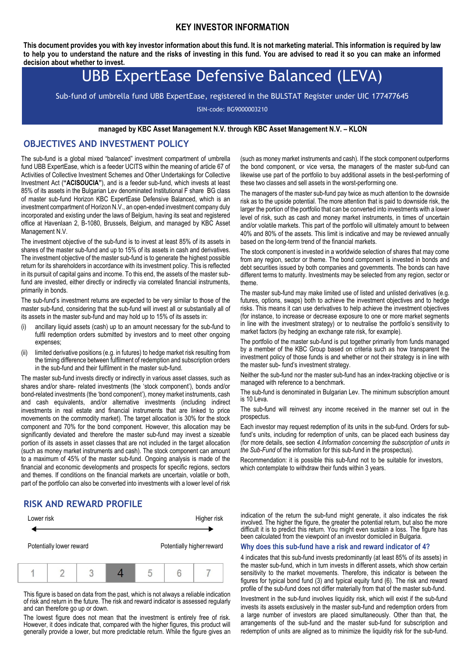#### **KEY INVESTOR INFORMATION**

**This document provides you with key investor information about this fund. It is not marketing material. This information is required by law to help you to understand the nature and the risks of investing in this fund. You are advised to read it so you can make an informed decision about whether to invest.**

# UBB ExpertEase Defensive Balanced (LEVA)

Sub-fund of umbrella fund UBB ExpertEase, registered in the BULSTAT Register under UIC 177477645

ISIN-code: BG9000003210

#### **managed by KBC Asset Management N.V. through KBC Asset Management N.V. – KLON**

## **OBJECTIVES AND INVESTMENT POLICY**

The sub-fund is a global mixed "balanced" investment compartment of umbrella fund UBB ExpertEase, which is a feeder UCITS within the meaning of article 67 of Activities of Collective Investment Schemes and Other Undertakings for Collective Investment Act (**"ACISOUCIA"**), and is a feeder sub-fund, which invests at least 85% of its assets in the Bulgarian Lev denominated Institutional F share BG class of master sub-fund Horizon KBC ExpertEase Defensive Balanced, which is an investment compartment of Horizon N.V., an open-ended investment company duly incorporated and existing under the laws of Belgium, having its seat and registered office at Havenlaan 2, B-1080, Brussels, Belgium, and managed by KBC Asset Management N.V.

The investment objective of the sub-fund is to invest at least 85% of its assets in shares of the master sub-fund and up to 15% of its assets in cash and derivatives. The investment objective of the master sub-fund is to generate the highest possible return for its shareholders in accordance with its investment policy. This is reflected in its pursuit of capital gains and income. To this end, the assets of the master subfund are invested, either directly or indirectly via correlated financial instruments, primarily in bonds.

The sub-fund's investment returns are expected to be very similar to those of the master sub-fund, considering that the sub-fund will invest all or substantially all of its assets in the master sub-fund and may hold up to 15% of its assets in:

- (i) ancillary liquid assets (cash) up to an amount necessary for the sub-fund to fulfil redemption orders submitted by investors and to meet other ongoing expenses;
- (ii) limited derivative positions (e.g. in futures) to hedge market risk resulting from the timing difference between fulfilment of redemption and subscription orders in the sub-fund and their fulfilment in the master sub-fund.

The master sub-fund invests directly or indirectly in various asset classes, such as shares and/or share- related investments (the 'stock component'), bonds and/or bond-related investments (the 'bond component'), money market instruments, cash and cash equivalents, and/or alternative investments (including indirect investments in real estate and financial instruments that are linked to price movements on the commodity market). The target allocation is 30% for the stock component and 70% for the bond component. However, this allocation may be significantly deviated and therefore the master sub-fund may invest a sizeable portion of its assets in asset classes that are not included in the target allocation (such as money market instruments and cash). The stock component can amount to a maximum of 45% of the master sub-fund. Ongoing analysis is made of the financial and economic developments and prospects for specific regions, sectors and themes. If conditions on the financial markets are uncertain, volatile or both, part of the portfolio can also be converted into investments with a lower level of risk

#### **RISK AND REWARD PROFILE**



This figure is based on data from the past, which is not always a reliable indication of risk and return in the future. The risk and reward indicator is assessed regularly and can therefore go up or down.

The lowest figure does not mean that the investment is entirely free of risk. However, it does indicate that, compared with the higher figures, this product will generally provide a lower, but more predictable return. While the figure gives an

(such as money market instruments and cash). If the stock component outperforms the bond component, or vice versa, the managers of the master sub-fund can likewise use part of the portfolio to buy additional assets in the best-performing of these two classes and sell assets in the worst-performing one.

The managers of the master sub-fund pay twice as much attention to the downside risk as to the upside potential. The more attention that is paid to downside risk, the larger the portion of the portfolio that can be converted into investments with a lower level of risk, such as cash and money market instruments, in times of uncertain and/or volatile markets. This part of the portfolio will ultimately amount to between 40% and 80% of the assets. This limit is indicative and may be reviewed annually based on the long-term trend of the financial markets.

The stock component is invested in a worldwide selection of shares that may come from any region, sector or theme. The bond component is invested in bonds and debt securities issued by both companies and governments. The bonds can have different terms to maturity. Investments may be selected from any region, sector or theme.

The master sub-fund may make limited use of listed and unlisted derivatives (e.g. futures, options, swaps) both to achieve the investment objectives and to hedge risks. This means it can use derivatives to help achieve the investment objectives (for instance, to increase or decrease exposure to one or more market segments in line with the investment strategy) or to neutralise the portfolio's sensitivity to market factors (by hedging an exchange rate risk, for example).

The portfolio of the master sub-fund is put together primarily from funds managed by a member of the KBC Group based on criteria such as how transparent the investment policy of those funds is and whether or not their strategy is in line with the master sub- fund's investment strategy.

Neither the sub-fund nor the master sub-fund has an index-tracking objective or is managed with reference to a benchmark.

The sub-fund is denominated in Bulgarian Lev. The minimum subscription amount is 10 Leva.

The sub-fund will reinvest any income received in the manner set out in the prospectus.

Each investor may request redemption of its units in the sub-fund. Orders for subfund's units, including for redemption of units, can be placed each business day (for more details, see section *4.Information concerning the subscription of units in the Sub-Fund* of the information for this sub-fund in the prospectus).

Recommendation: it is possible this sub-fund not to be suitable for investors, which contemplate to withdraw their funds within 3 years.

indication of the return the sub-fund might generate, it also indicates the risk involved. The higher the figure, the greater the potential return, but also the more difficult it is to predict this return. You might even sustain a loss. The figure has been calculated from the viewpoint of an investor domiciled in Bulgaria.

#### **Why does this sub-fund have a risk and reward indicator of 4?**

4 indicates that this sub-fund invests predominantly (at least 85% of its assets) in the master sub-fund, which in turn invests in different assets, which show certain sensitivity to the market movements. Therefore, this indicator is between the figures for typical bond fund (3) and typical equity fund (6). The risk and reward profile of the sub-fund does not differ materially from that of the master sub-fund.

Investment in the sub-fund involves liquidity risk, which will exist if the sub-fund invests its assets exclusively in the master sub-fund and redemption orders from a large number of investors are placed simultaneously. Other than that, the arrangements of the sub-fund and the master sub-fund for subscription and redemption of units are aligned as to minimize the liquidity risk for the sub-fund.